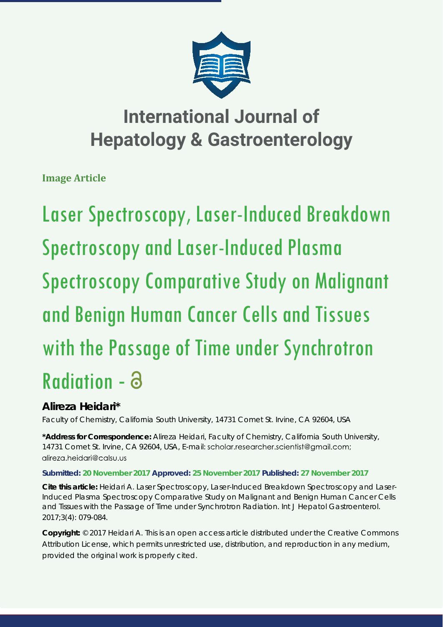

# **International Journal of Hepatology & Gastroenterology**

**Image Article**

Laser Spectroscopy, Laser-Induced Breakdown Spectroscopy and Laser-Induced Plasma Spectroscopy Comparative Study on Malignant and Benign Human Cancer Cells and Tissues with the Passage of Time under Synchrotron Radiation -

## **Alireza Heidari\***

*Faculty of Chemistry, California South University, 14731 Comet St. Irvine, CA 92604, USA*

**\*Address for Correspondence:** Alireza Heidari, Faculty of Chemistry, California South University, 14731 Comet St. Irvine, CA 92604, USA, E-mail: scholgr.resegrcher.scientist@gmgil.com; alireza.heidari@calsu.us

### **Submitted: 20 November 2017 Approved: 25 November 2017 Published: 27 November 2017**

**Cite this article:** Heidari A. Laser Spectroscopy, Laser-Induced Breakdown Spectroscopy and Laser-Induced Plasma Spectroscopy Comparative Study on Malignant and Benign Human Cancer Cells and Tissues with the Passage of Time under Synchrotron Radiation. Int J Hepatol Gastroenterol. 2017;3(4): 079-084.

**Copyright:** © 2017 Heidari A. This is an open access article distributed under the Creative Commons Attribution License, which permits unrestricted use, distribution, and reproduction in any medium, provided the original work is properly cited.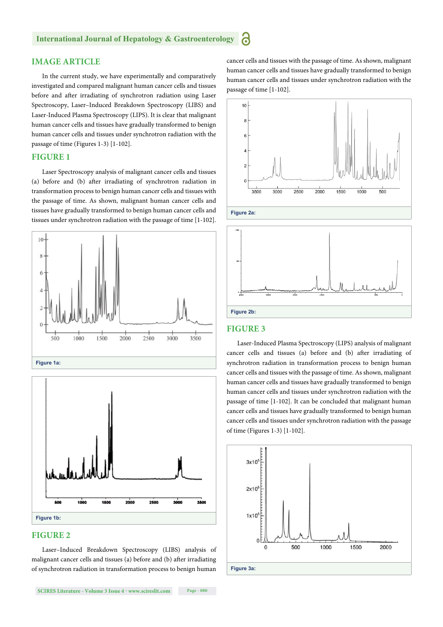#### **IMAGE ARTICLE**

In the current study, we have experimentally and comparatively investigated and compared malignant human cancer cells and tissues before and after irradiating of synchrotron radiation using Laser Spectroscopy, Laser–Induced Breakdown Spectroscopy (LIBS) and Laser-Induced Plasma Spectroscopy (LIPS). It is clear that malignant human cancer cells and tissues have gradually transformed to benign human cancer cells and tissues under synchrotron radiation with the passage of time (Figures 1-3) [1-102].

#### **FIGURE 1**

Laser Spectroscopy analysis of malignant cancer cells and tissues (a) before and (b) after irradiating of synchrotron radiation in transformation process to benign human cancer cells and tissues with the passage of time. As shown, malignant human cancer cells and tissues have gradually transformed to benign human cancer cells and tissues under synchrotron radiation with the passage of time [1-102].





#### **FIGURE 2**

Laser–Induced Breakdown Spectroscopy (LIBS) analysis of malignant cancer cells and tissues (a) before and (b) after irradiating of synchrotron radiation in transformation process to benign human

**SCIRES Literature - Volume 3 Issue 4 - www.scireslit.com Page - 080**

cancer cells and tissues with the passage of time. As shown, malignant human cancer cells and tissues have gradually transformed to benign human cancer cells and tissues under synchrotron radiation with the passage of time [1-102].





#### **FIGURE 3**

Laser-Induced Plasma Spectroscopy (LIPS) analysis of malignant cancer cells and tissues (a) before and (b) after irradiating of synchrotron radiation in transformation process to benign human cancer cells and tissues with the passage of time. As shown, malignant human cancer cells and tissues have gradually transformed to benign human cancer cells and tissues under synchrotron radiation with the passage of time [1-102]. It can be concluded that malignant human cancer cells and tissues have gradually transformed to benign human cancer cells and tissues under synchrotron radiation with the passage of time (Figures 1-3) [1-102].

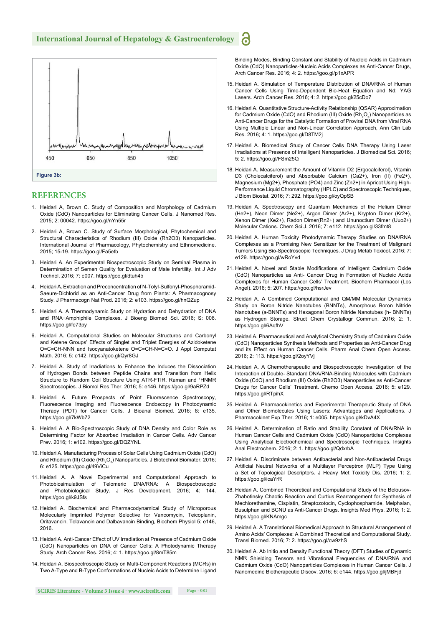

#### **REFERENCES**

- 1. Heidari A, Brown C. Study of Composition and Morphology of Cadmium Oxide (CdO) Nanoparticles for Eliminating Cancer Cells. J Nanomed Res. 2015; 2: 00042. https://goo.gl/nYn55r
- 2. Heidari A, Brown C. Study of Surface Morphological, Phytochemical and Structural Characteristics of Rhodium (III) Oxide (Rh2O3) Nanoparticles. International Journal of Pharmacology, Phytochemistry and Ethnomedicine. 2015; 15-19. https://goo.gl/Fa5etb
- 3. Heidari A. An Experimental Biospectroscopic Study on Seminal Plasma in Determination of Semen Quality for Evaluation of Male Infertility. Int J Adv Technol. 2016; 7: e007. https://goo.gl/dtuh4b
- 4. Heidari A. Extraction and Preconcentration of N-Tolyl-Sulfonyl-Phosphoramid-Saeure-Dichlorid as an Anti-Cancer Drug from Plants: A Pharmacognosy Study. J Pharmacogn Nat Prod. 2016; 2: e103. https://goo.gl/hnQZup
- 5. Heidari A. A Thermodynamic Study on Hydration and Dehydration of DNA and RNA−Amphiphile Complexes. J Bioeng Biomed Sci. 2016; S: 006. https://goo.gl/fe73py
- 6. Heidari A. Computational Studies on Molecular Structures and Carbonyl and Ketene Groups' Effects of Singlet and Triplet Energies of Azidoketene O=C=CH-NNN and Isocyanatoketene O=C=CH-N=C=O. J Appl Computat Math. 2016; 5: e142. https://goo.gl/Qyr8GJ
- 7. Heidari A. Study of Irradiations to Enhance the Induces the Dissociation of Hydrogen Bonds between Peptide Chains and Transition from Helix Structure to Random Coil Structure Using ATR-FTIR, Raman and 1 HNMR Spectroscopies. J Biomol Res Ther. 2016; 5: e146. https://goo.gl/9aRPZd
- 8. Heidari A. Future Prospects of Point Fluorescence Spectroscopy, Fluorescence Imaging and Fluorescence Endoscopy in Photodynamic Therapy (PDT) for Cancer Cells. J Bioanal Biomed. 2016; 8: e135. https://goo.gl/7kWb72
- 9. Heidari A. A Bio-Spectroscopic Study of DNA Density and Color Role as Determining Factor for Absorbed Irradiation in Cancer Cells. Adv Cancer Prev. 2016; 1: e102. https://goo.gl/DQZYNL
- 10. Heidari A. Manufacturing Process of Solar Cells Using Cadmium Oxide (CdO) and Rhodium (III) Oxide (Rh<sub>2</sub>O<sub>3</sub>) Nanoparticles. J Biotechnol Biomater. 2016; 6: e125. https://goo.gl/49ViCu
- 11. Heidari A. A Novel Experimental and Computational Approach to Photobiosimulation of Telomeric DNA/RNA: A Biospectroscopic and Photobiological Study. J Res Development. 2016; 4: 144. https://goo.gl/k9JSfs
- 12. Heidari A. Biochemical and Pharmacodynamical Study of Microporous Molecularly Imprinted Polymer Selective for Vancomycin, Teicoplanin, Oritavancin, Telavancin and Dalbavancin Binding, Biochem Physiol 5: e146, 2016.
- 13. Heidari A. Anti-Cancer Effect of UV Irradiation at Presence of Cadmium Oxide (CdO) Nanoparticles on DNA of Cancer Cells: A Photodynamic Therapy Study. Arch Cancer Res. 2016; 4: 1. https://goo.gl/8mT85m
- 14. Heidari A. Biospectroscopic Study on Multi-Component Reactions (MCRs) in Two A-Type and B-Type Conformations of Nucleic Acids to Determine Ligand

Binding Modes, Binding Constant and Stability of Nucleic Acids in Cadmium Oxide (CdO) Nanoparticles-Nucleic Acids Complexes as Anti-Cancer Drugs, Arch Cancer Res. 2016; 4: 2. https://goo.gl/p1xAPR

- 15. Heidari A. Simulation of Temperature Distribution of DNA/RNA of Human Cancer Cells Using Time-Dependent Bio-Heat Equation and Nd: YAG Lasers. Arch Cancer Res. 2016; 4: 2. https://goo.gl/25cDo7
- 16. Heidari A. Quantitative Structure-Activity Relationship (QSAR) Approximation for Cadmium Oxide (CdO) and Rhodium (III) Oxide (Rh<sub>2</sub>O<sub>3</sub>) Nanoparticles as Anti-Cancer Drugs for the Catalytic Formation of Proviral DNA from Viral RNA Using Multiple Linear and Non-Linear Correlation Approach, Ann Clin Lab Res. 2016; 4: 1. https://goo.gl/D8TM2j
- 17. Heidari A. Biomedical Study of Cancer Cells DNA Therapy Using Laser Irradiations at Presence of Intelligent Nanoparticles. J Biomedical Sci. 2016; 5: 2. https://goo.gl/FSm25Q
- 18. Heidari A. Measurement the Amount of Vitamin D2 (Ergocalciferol), Vitamin D3 (Cholecalciferol) and Absorbable Calcium (Ca2+), Iron (II) (Fe2+), Magnesium (Mg2+), Phosphate (PO4) and Zinc (Zn2+) in Apricot Using High-Performance Liquid Chromatography (HPLC) and Spectroscopic Techniques, J Biom Biostat. 2016; 7: 292. https://goo.gl/oyQpSB
- 19. Heidari A. Spectroscopy and Quantum Mechanics of the Helium Dimer (He2+), Neon Dimer (Ne2+), Argon Dimer (Ar2+), Krypton Dimer (Kr2+), Xenon Dimer (Xe2+), Radon Dimer(Rn2+) and Ununoctium Dimer (Uuo2+) Molecular Cations. Chem Sci J. 2016; 7: e112. https://goo.gl/33fmt8
- 20. Heidari A. Human Toxicity Photodynamic Therapy Studies on DNA/RNA Complexes as a Promising New Sensitizer for the Treatment of Malignant Tumors Using Bio-Spectroscopic Techniques. J Drug Metab Toxicol. 2016; 7: e129. https://goo.gl/wRoYvd
- 21. Heidari A. Novel and Stable Modifications of Intelligent Cadmium Oxide (CdO) Nanoparticles as Anti- Cancer Drug in Formation of Nucleic Acids Complexes for Human Cancer Cells' Treatment. Biochem Pharmacol (Los Angel). 2016; 5: 207. https://goo.gl/hsrJev
- 22. Heidari A. A Combined Computational and QM/MM Molecular Dynamics Study on Boron Nitride Nanotubes (BNNTs), Amorphous Boron Nitride Nanotubes (a-BNNTs) and Hexagonal Boron Nitride Nanotubes (h- BNNTs) as Hydrogen Storage. Struct Chem Crystallogr Commun. 2016; 2: 1. https://goo.gl/6AqfhV
- 23. Heidari A. Pharmaceutical and Analytical Chemistry Study of Cadmium Oxide (CdO) Nanoparticles Synthesis Methods and Properties as Anti-Cancer Drug and its Effect on Human Cancer Cells. Pharm Anal Chem Open Access. 2016; 2: 113. https://goo.gl/2oyYVj
- 24. Heidari A. A Chemotherapeutic and Biospectroscopic Investigation of the Interaction of Double- Standard DNA/RNA-Binding Molecules with Cadmium Oxide (CdO) and Rhodium (III) Oxide (Rh2O3) Nanoparticles as Anti-Cancer Drugs for Cancer Cells' Treatment. Chemo Open Access. 2016; 5: e129. https://goo.gl/RTpihX
- 25. Heidari A. Pharmacokinetics and Experimental Therapeutic Study of DNA and Other Biomolecules Using Lasers: Advantages and Applications. J Pharmacokinet Exp Ther. 2016; 1: e005. https://goo.gl/kDvA4X
- 26. Heidari A. Determination of Ratio and Stability Constant of DNA/RNA in Human Cancer Cells and Cadmium Oxide (CdO) Nanoparticles Complexes Using Analytical Electrochemical and Spectroscopic Techniques. Insights Anal Electrochem. 2016; 2: 1. https://goo.gl/QdxrbA
- 27. Heidari A. Discriminate between Antibacterial and Non-Antibacterial Drugs Artificial Neutral Networks of a Multilayer Perceptron (MLP) Type Using a Set of Topological Descriptors. J Heavy Met Toxicity Dis. 2016; 1: 2. https://goo.gl/icaYrR
- 28. Heidari A. Combined Theoretical and Computational Study of the Belousov-Zhabotinsky Chaotic Reaction and Curtius Rearrangement for Synthesis of Mechlorethamine, Cisplatin, Streptozotocin, Cyclophosphamide, Melphalan, Busulphan and BCNU as Anti-Cancer Drugs. Insights Med Phys. 2016; 1: 2. https://goo.gl/KNAmgc
- 29. Heidari A. A Translational Biomedical Approach to Structural Arrangement of Amino Acids' Complexes: A Combined Theoretical and Computational Study. Transl Biomed. 2016; 7: 2. https://goo.gl/cw9zhS
- 30. Heidari A. Ab Initio and Density Functional Theory (DFT) Studies of Dynamic NMR Shielding Tensors and Vibrational Frequencies of DNA/RNA and Cadmium Oxide (CdO) Nanoparticles Complexes in Human Cancer Cells. J Nanomedine Biotherapeutic Discov. 2016; 6: e144. https://goo.gl/jMBFjd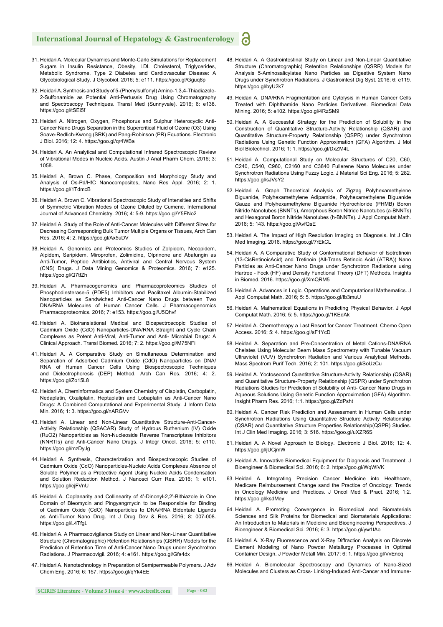#### **International Journal of Hepatology & Gastroenterology**

- 31. Heidari A. Molecular Dynamics and Monte-Carlo Simulations for Replacement Sugars in Insulin Resistance, Obesity, LDL Cholesterol, Triglycerides, Metabolic Syndrome, Type 2 Diabetes and Cardiovascular Disease: A Glycobiological Study. J Glycobiol. 2016; 5: e111. https://goo.gl/Gguq8p
- 32. Heidari A. Synthesis and Study of 5-(Phenylsulfonyl) Amino-1,3,4-Thiadiazole-2-Sulfonamide as Potential Anti-Pertussis Drug Using Chromatography and Spectroscopy Techniques. Transl Med (Sunnyvale). 2016; 6: e138. https://goo.gl/tSEi5f
- 33. Heidari A. Nitrogen, Oxygen, Phosphorus and Sulphur Heterocyclic Anti-Cancer Nano Drugs Separation in the Supercritical Fluid of Ozone (O3) Using Soave-Redlich-Kwong (SRK) and Pang-Robinson (PR) Equations. Electronic J Biol. 2016; 12: 4. https://goo.gl/qr4WBa
- 34. Heidari A. An Analytical and Computational Infrared Spectroscopic Review of Vibrational Modes in Nucleic Acids. Austin J Anal Pharm Chem. 2016; 3: 1058.
- 35. Heidari A, Brown C. Phase, Composition and Morphology Study and Analysis of Os-Pd/HfC Nanocomposites, Nano Res Appl. 2016; 2: 1. https://goo.gl/1TdmcB
- 36. Heidari A, Brown C. Vibrational Spectroscopic Study of Intensities and Shifts of Symmetric Vibration Modes of Ozone Diluted by Cumene. International Journal of Advanced Chemistry. 2016; 4: 5-9. https://goo.gl/Y5ENo2
- 37. Heidari A. Study of the Role of Anti-Cancer Molecules with Different Sizes for Decreasing Corresponding Bulk Tumor Multiple Organs or Tissues, Arch Can Res. 2016; 4: 2. https://goo.gl/Ax5uDV
- 38. Heidari A. Genomics and Proteomics Studies of Zolpidem, Necopidem, Alpidem, Saripidem, Miroprofen, Zolimidine, Olprinone and Abafungin as Anti-Tumor, Peptide Antibiotics, Antiviral and Central Nervous System (CNS) Drugs. J Data Mining Genomics & Proteomics. 2016; 7: e125. https://goo.gl/Q7tfZh
- 39. Heidari A. Pharmacogenomics and Pharmacoproteomics Studies of Phosphodiesterase-5 (PDE5) Inhibitors and Paclitaxel Albumin-Stabilized Nanoparticles as Sandwiched Anti-Cancer Nano Drugs between Two DNA/RNA Molecules of Human Cancer Cells. J Pharmacogenomics Pharmacoproteomics. 2016; 7: e153. https://goo.gl/U5Qhvf
- 40. Heidari A. Biotranslational Medical and Biospectroscopic Studies of Cadmium Oxide (CdO) Nanoparticles-DNA/RNA Straight and Cycle Chain Complexes as Potent Anti-Viral, Anti-Tumor and Anti- Microbial Drugs: A Clinical Approach. Transl Biomed. 2016; 7: 2. https://goo.gl/M75NFi
- 41. Heidari A. A Comparative Study on Simultaneous Determination and Separation of Adsorbed Cadmium Oxide (CdO) Nanoparticles on DNA/ RNA of Human Cancer Cells Using Biospectroscopic Techniques and Dielectrophoresis (DEP) Method. Arch Can Res. 2016; 4: 2. https://goo.gl/Zo15L8
- 42. Heidari A, Cheminformatics and System Chemistry of Cisplatin, Carboplatin, Nedaplatin, Oxaliplatin, Heptaplatin and Lobaplatin as Anti-Cancer Nano Drugs: A Combined Computational and Experimental Study. J Inform Data Min. 2016; 1: 3. https://goo.gl/nARGVv
- 43. Heidari A. Linear and Non-Linear Quantitative Structure-Anti-Cancer-Activity Relationship (QSACAR) Study of Hydrous Ruthenium (IV) Oxide (RuO2) Nanoparticles as Non-Nucleoside Reverse Transcriptase Inhibitors (NNRTIs) and Anti-Cancer Nano Drugs. J Integr Oncol. 2016; 5: e110. https://goo.gl/mzDyJg
- 44. Heidari A. Synthesis, Characterization and Biospectroscopic Studies of Cadmium Oxide (CdO) Nanoparticles-Nucleic Acids Complexes Absence of Soluble Polymer as a Protective Agent Using Nucleic Acids Condensation and Solution Reduction Method. J Nanosci Curr Res. 2016; 1: e101. https://goo.gl/ejFVnU
- 45. Heidari A. Coplanarity and Collinearity of 4'-Dinonyl-2,2'-Bithiazole in One Domain of Bleomycin and Pingyangmycin to be Responsible for Binding of Cadmium Oxide (CdO) Nanoparticles to DNA/RNA Bidentate Ligands as Anti-Tumor Nano Drug. Int J Drug Dev & Res. 2016; 8: 007-008. https://goo.gl/L4TfgL
- 46. Heidari A. A Pharmacovigilance Study on Linear and Non-Linear Quantitative Structure (Chromatographic) Retention Relationships (QSRR) Models for the Prediction of Retention Time of Anti-Cancer Nano Drugs under Synchrotron Radiations. J Pharmacovigil. 2016; 4: e161. https://goo.gl/Gfa4dx
- 47. Heidari A. Nanotechnology in Preparation of Semipermeable Polymers. J Adv Chem Eng. 2016; 6: 157. https://goo.gl/qYk4EE
- 48. Heidari A. A Gastrointestinal Study on Linear and Non-Linear Quantitative Structure (Chromatographic) Retention Relationships (QSRR) Models for Analysis 5-Aminosalicylates Nano Particles as Digestive System Nano Drugs under Synchrotron Radiations. J Gastrointest Dig Syst. 2016; 6: e119. https://goo.gl/byU2k7
- 49. Heidari A. DNA/RNA Fragmentation and Cytolysis in Human Cancer Cells Treated with Diphthamide Nano Particles Derivatives. Biomedical Data Mining. 2016; 5: e102. https://goo.gl/4RzSM9
- 50. Heidari A. A Successful Strategy for the Prediction of Solubility in the Construction of Quantitative Structure-Activity Relationship (QSAR) and Quantitative Structure-Property Relationship (QSPR) under Synchrotron Radiations Using Genetic Function Approximation (GFA) Algorithm. J Mol Biol Biotechnol. 2016; 1: 1. https://goo.gl/DxZM4L
- 51. Heidari A. Computational Study on Molecular Structures of C20, C60, C240, C540, C960, C2160 and C3840 Fullerene Nano Molecules under Synchrotron Radiations Using Fuzzy Logic. J Material Sci Eng. 2016; 5: 282. https://goo.gl/sJVsY2
- 52. Heidari A. Graph Theoretical Analysis of Zigzag Polyhexamethylene Biguanide, Polyhexamethylene Adipamide, Polyhexamethylene Biguanide Gauze and Polyhexamethylene Biguanide Hydrochloride (PHMB) Boron Nitride Nanotubes (BNNTs), Amorphous Boron Nitride Nanotubes (a-BNNTs) and Hexagonal Boron Nitride Nanotubes (h-BNNTs). J Appl Computat Math. 2016; 5: 143. https://goo.gl/AvfQsE
- 53. Heidari A. The Impact of High Resolution Imaging on Diagnosis. Int J Clin Med Imaging. 2016. https://goo.gl/7rEkCL
- 54. Heidari A. A Comparative Study of Conformational Behavior of Isotretinoin (13-CisRetinoicAcid) and Tretinoin (All-Trans Retinoic Acid (ATRA)) Nano Particles as Anti-Cancer Nano Drugs under Synchrotron Radiations using Hartree - Fock (HF) and Density Functional Theory (DFT) Methods. Insights in Biomed. 2016. https://goo.gl/XmQRM5
- 55. Heidari A. Advances in Logic, Operations and Computational Mathematics. J Appl Computat Math. 2016; 5: 5. https://goo.gl/fb3muU
- 56. Heidari A. Mathematical Equations in Predicting Physical Behavior. J Appl Computat Math. 2016; 5: 5. https://goo.gl/1KEdAk
- 57. Heidari A. Chemotherapy a Last Resort for Cancer Treatment. Chemo Open Access. 2016; 5: 4. https://goo.gl/sF1YcD
- 58. Heidari A. Separation and Pre-Concentration of Metal Cations-DNA/RNA Chelates Using Molecular Beam Mass Spectrometry with Tunable Vacuum Ultraviolet (VUV) Synchrotron Radiation and Various Analytical Methods. Mass Spectrom Purif Tech. 2016; 2: 101. https://goo.gl/SoUzCu
- 59. Heidari A. Yoctosecond Quantitative Structure-Activity Relationship (QSAR) and Quantitative Structure-Property Relationship (QSPR) under Synchrotron Radiations Studies for Prediction of Solubility of Anti- Cancer Nano Drugs in Aqueous Solutions Using Genetic Function Approximation (GFA) Algorithm. Insight Pharm Res. 2016; 1:1. https://goo.gl/ZdPsht
- 60. Heidari A. Cancer Risk Prediction and Assessment in Human Cells under Synchrotron Radiations Using Quantitative Structure Activity Relationship (QSAR) and Quantitative Structure Properties Relationship(QSPR) Studies. Int J Clin Med Imaging. 2016; 3: 516. https://goo.gl/uXZR6S
- 61. Heidari A. A Novel Approach to Biology. Electronic J Biol. 2016; 12: 4. https://goo.gl/jUCjmW
- 62. Heidari A. Innovative Biomedical Equipment for Diagnosis and Treatment. J Bioengineer & Biomedical Sci. 2016; 6: 2. https://goo.gl/WqWiVK
- 63. Heidari A. Integrating Precision Cancer Medicine into Healthcare, Medicare Reimbursement Change sand the Practice of Oncology: Trends in Oncology Medicine and Practices. J Oncol Med & Pract. 2016; 1:2. https://goo.gl/ksdMey
- 64. Heidari A. Promoting Convergence in Biomedical and Biomaterials Sciences and Silk Proteins for Biomedical and Biomaterials Applications: An Introduction to Materials in Medicine and Bioengineering Perspectives. J Bioengineer & Biomedical Sci. 2016; 6: 3. https://goo.gl/yw1tAo
- 65. Heidari A. X-Ray Fluorescence and X-Ray Diffraction Analysis on Discrete Element Modeling of Nano Powder Metallurgy Processes in Optimal Container Design. J Powder Metall Min. 2017; 6: 1. https://goo.gl/VvEncq
- 66. Heidari A. Biomolecular Spectroscopy and Dynamics of Nano-Sized Molecules and Clusters as Cross- Linking-Induced Anti-Cancer and Immune-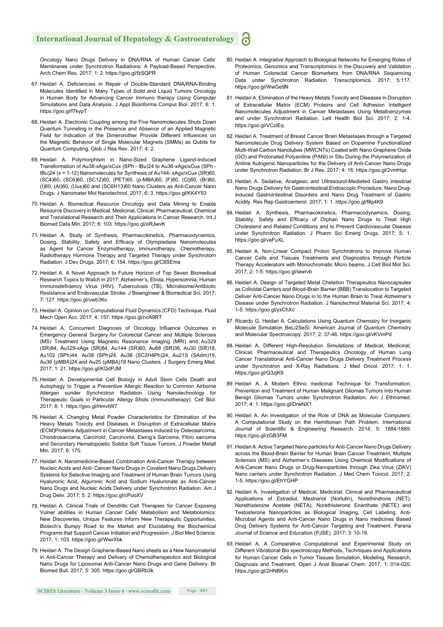#### **International Journal of Hepatology & Gastroenterology**

Oncology Nano Drugs Delivery in DNA/RNA of Human Cancer Cells' Membranes under Synchrotron Radiations: A Payload-Based Perspective. Arch Chem Res. 2017; 1: 2. https://goo.gl/fzSQPR

- 67. Heidari A. Deficiencies in Repair of Double-Standard DNA/RNA-Binding Molecules Identified in Many Types of Solid and Liquid Tumors Oncology in Human Body for Advancing Cancer Immuno therapy Using Computer Simulations and Data Analysis. J Appl Bioinforma Comput Biol. 2017; 6: 1. https://goo.gl/f7kypT
- 68. Heidari A. Electronic Coupling among the Five Nanomolecules Shuts Down Quantum Tunneling in the Presence and Absence of an Applied Magnetic Field for Indication of the Dimerorother Provide Different Influences on the Magnetic Behavior of Single Molecular Magnets (SMMs) as Qubits for Quantum Computing. Glob J Res Rev. 2017; 4: 2.
- 69. Heidari A. Polymorphism in Nano-Sized Graphene Ligand-Induced Transformation of Au38-xAgx/xCux (SPh - tBu)24 to Au36-xAgx/xCux (SPh tBu)24 (x = 1-12) Nanomolecules for Synthesis of Au144- xAgx/xCux (SR)60, (SC4)60, (SC6)60, (SC12)60, (PET)60, (p-MBA)60, (F)60, (Cl)60, (Br)60, (I)60, (At)60, (Uus)60 and (SC6H13)60 Nano Clusters as Anti-Cancer Nano Drugs. J Nanomater Mol Nanotechnol. 2017; 6: 3. https://goo.gl/KK4Y93
- 70. Heidari A. Biomedical Resource Oncology and Data Mining to Enable Resource Discovery in Medical, Medicinal, Clinical, Pharmaceutical, Chemical and Translational Research and Their Applications in Cancer Research. Int J Biomed Data Min. 2017; 6: 103. https://goo.gl/oRJwvK
- 71. Heidari A. Study of Synthesis, Pharmacokinetics, Pharmacodynamics, Dosing, Stability, Safety and Efficacy of Olympiadane Nanomolecules as Agent for Cancer Enzymotherapy, Immunotherapy, Chemotherapy, Radiotherapy Hormone Therapy and Targeted Therapy under Synchrotorn Radiation. J Dev Drugs. 2017; 6: 154. https://goo.gl/C8SEma
- 72. Heidari A. A Novel Approach to Future Horizon of Top Seven Biomedical Research Topics to Watch in 2017: Alzheimer's, Ebola, Hypersomnia, Human Immunodeficiency Virus (HIV), Tuberculosis (TB), Microbiome/Antibiotic Resistance and Endovascular Stroke. J Bioengineer & Biomedical Sci. 2017; 7: 127. https://goo.gl/uwb3Kc
- 73. Heidari A. Opinion on Computational Fluid Dynamics (CFD) Technique. Fluid Mech Open Acc. 2017; 4: 157. https://goo.gl/ncA9RT
- 74. Heidari A. Concurrent Diagnosis of Oncology Influence Outcomes in Emergency General Surgery for Colorectal Cancer and Multiple Sclerosis (MS) Treatment Using Magnetic Resonance Imaging (MRI) and Au329 (SR)84, Au329-xAgx (SR)84, Au144 (SR)60, Au68 (SR)36, Au30 (SR)18, Au102 (SPh)44, Au38 (SPh)24, Au38 (SC2H4Ph)24, Au21S (SAdm)15, Au36 (pMBA)24 and Au25 (pMBA)18 Nano Clusters. J Surgery Emerg Med. 2017; 1: 21. https://goo.gl/KQdPJM
- 75. Heidari A. Developmental Cell Biology in Adult Stem Cells Death and Autophagy to Trigger a Preventive Allergic Reaction to Common Airborne Allergen sunder Synchrotron Radiation Using Nanotechnology for Therapeutic Goals in Particular Allergy Shots (Immunotherapy). Cell Biol. 2017; 6: 1. https://goo.gl/HmvtW7
- 76. Heidari A. Changing Metal Powder Characteristics for Elimination of the Heavy Metals Toxicity and Diseases in Disruption of Extracellular Matrix (ECM)Proteins Adjustment in Cancer Metastases Induced by Osteosarcoma, Chondrosarcoma, Carcinoid, Carcinoma, Ewing's Sarcoma, Fibro sarcoma and Secondary Hematopoietic Solidor Soft Tissue Tumors. J Powder Metall Min. 2017; 6: 170.
- 77. Heidari A. Nanomedicine-Based Combination Anti-Cancer Therapy between Nucleic Acids and Anti- Cancer Nano Drugs in Covalent Nano Drugs Delivery Systems for Selective Imaging and Treatment of Human Brain Tumors Using Hyaluronic Acid, Alguronic Acid and Sodium Hyaluronate as Anti-Cancer Nano Drugs and Nucleic Acids Delivery under Synchrotron Radiation. Am J Drug Deliv. 2017; 5: 2. https://goo.gl/cPuoXV
- 78. Heidari A. Clinical Trials of Dendritic Cell Therapies for Cancer Exposing Vulner abilities in Human Cancer Cells' Metabolism and Metabolomics: New Discoveries, Unique Features Inform New Therapeutic Opportunities, Biotech's Bumpy Road to the Market and Elucidating the Biochemical Programs that Support Cancer Initiation and Progression. J Biol Med Science. 2017; 1: 103. https://goo.gl/WwrXbk
- 79. Heidari A. The Design Graphene-Based Nano sheets as a New Nanomaterial in Anti-Cancer Therapy and Delivery of Chemotherapeutics and Biological Nano Drugs for Liposomal Anti-Cancer Nano Drugs and Gene Delivery. Br Biomed Bull. 2017; 5: 305. https://goo.gl/GBRb3k
- 80. Heidari A. Integrative Approach to Biological Networks for Emerging Roles of Proteomics, Genomics and Transcriptomics in the Discovery and Validation of Human Colorectal Cancer Biomarkers from DNA/RNA Sequencing Data under Synchrotron Radiation. Transcriptomics. 2017; 5:117. https://goo.gl/WwGe9N
- 81. Heidari A. Elimination of the Heavy Metals Toxicity and Diseases in Disruption of Extracellular Matrix (ECM) Proteins and Cell Adhesion Intelligent Nanomolecules Adjustment in Cancer Metastases Using Metalloenzymes and under Synchrotron Radiation. Lett Health Biol Sci. 2017; 2: 1-4. https://goo.gl/VCziEq
- 82. Heidari A. Treatment of Breast Cancer Brain Metastases through a Targeted Nanomolecule Drug Delivery System Based on Dopamine Functionalized Multi-Wall Carbon Nanotubes (MWCNTs) Coated with Nano Graphene Oxide (GO) and Protonated Polyaniline (PANI) in Situ During the Polymerization of Aniline Autogenic Nanoparticles for the Delivery of Anti-Cancer Nano Drugs under Synchrotron Radiation. Br J Res. 2017; 4: 16. https://goo.gl/2vmHqs
- 83. Heidari A. Sedative, Analgesic and Ultrasound-Mediated Gastro intestinal Nano Drugs Delivery for Gastrointestinal Endoscopic Procedure, Nano Drug-Induced Gastrointestinal Disorders and Nano Drug Treatment of Gastric Acidity. Res Rep Gastroenterol. 2017; 1: 1. https://goo.gl/f8p4K9
- 84. Heidari A. Synthesis, Pharmacokinetics, Pharmacodynamics, Dosing, Stability, Safety and Efficacy of Orphan Nano Drugs to Treat High Cholesterol and Related Conditions and to Prevent Cardiovascular Disease under Synchrotron Radiation. J Pharm Sci Emerg Drugs. 2017; 5: 1. https://goo.gl/vaFuXL
- 85. Heidari A. Non-Linear Compact Proton Synchrotrons to Improve Human Cancer Cells and Tissues Treatments and Diagnostics through Particle Therapy Accelerators with Monochromatic Micro beams. J Cell Biol Mol Sci. 2017; 2: 1-5. https://goo.gl/iawrvb
- 86. Heidari A. Design of Targeted Metal Chelation Therapeutics Nanocapsules as Colloidal Carriers and Blood-Brain Barrier (BBB) Translocation to Targeted Deliver Anti-Cancer Nano Drugs in to the Human Brain to Treat Alzheimer's Disease under Synchrotron Radiation. J Nanotechnol Material Sci. 2017; 4: 1-5. https://goo.gl/yxChXc
- 87. Ricardo G, Heidari A. Calculations Using Quantum Chemistry for Inorganic Molecule Simulation BeLi2SeSi. American Journal of Quantum Chemistry and Molecular Spectroscopy. 2017; 2: 37-46. https://goo.gl/vKVmPd
- 88. Heidari A. Different High-Resolution Simulations of Medical, Medicinal, Clinical, Pharmaceutical and Therapeutics Oncology of Human Lung Cancer Translational Anti-Cancer Nano Drugs Delivery Treatment Process under Synchrotron and X-Ray Radiations. J Med Oncol. 2017; 1: 1. https://goo.gl/Q3zjK9
- 89. Heidari A. A Modern Ethno medicinal Technique for Transformation, Prevention and Treatment of Human Malignant Gliomas Tumors into Human Benign Gliomas Tumors under Synchrotron Radiation. Am J Ethnomed. 2017; 4: 1. https://goo.gl/DrwNX1
- 90. Heidari A. An Investigation of the Role of DNA as Molecular Computers: A Computational Study on the Hamiltonian Path Problem. International Journal of Scientific & Engineering Research. 2014; 5: 1884-1889. https://goo.gl/zGB3FM
- 91. Heidari A. Active Targeted Nano particles for Anti-Cancer Nano Drugs Delivery across the Blood-Brain Barrier for Human Brain Cancer Treatment, Multiple Sclerosis (MS) and Alzheimer's Diseases Using Chemical Modifications of Anti-Cancer Nano Drugs or Drug-Nanoparticles through Zika Virus (ZIKV) Nano carriers under Synchrotron Radiation. J Med Chem Toxicol. 2017; 2: 1-5. https://goo.gl/EhYGHP
- 92. Heidari A. Investigation of Medical, Medicinal, Clinical and Pharmaceutical Applications of Estradiol, Mestranol (Norlutin), Norethindrone (NET), Norethisterone Acetate (NETA), Norethisterone Enanthate (NETE) and Testosterone Nanoparticles as Biological Imaging, Cell Labeling, Anti-Microbial Agents and Anti-Cancer Nano Drugs in Nano medicines Based Drug Delivery Systems for Anti-Cancer Targeting and Treatment. Parana Journal of Science and Education (PJSE). 2017; 3: 10-19.
- 93. Heidari A. A Comparative Computational and Experimental Study on Different Vibrational Bio spectroscopy Methods, Techniques and Applications for Human Cancer Cells in Tumor Tissues Simulation, Modeling, Research, Diagnosis and Treatment. Open J Anal Bioanal Chem. 2017; 1: 014-020. https://goo.gl/2HNBKm